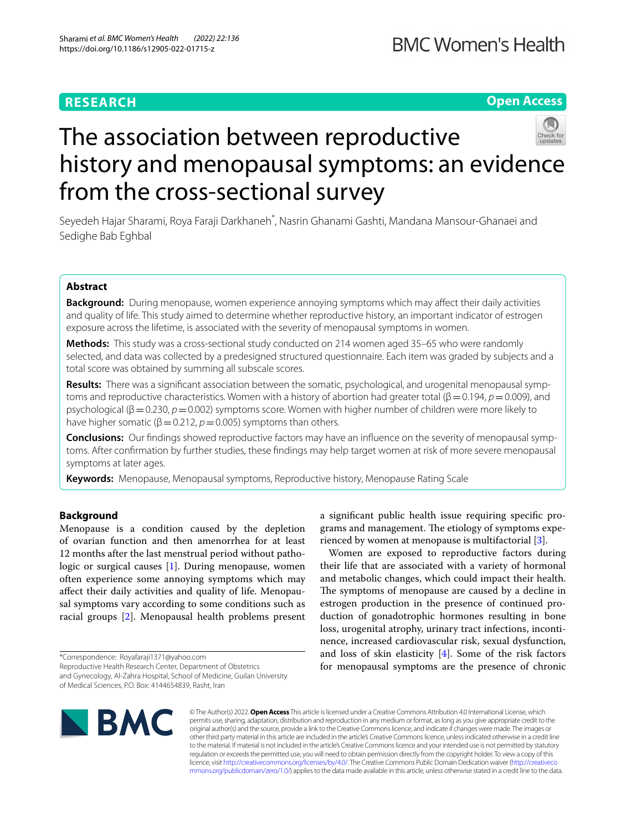# **RESEARCH**

**Open Access**

# The association between reproductive history and menopausal symptoms: an evidence from the cross-sectional survey

Seyedeh Hajar Sharami, Roya Faraji Darkhaneh<sup>\*</sup>, Nasrin Ghanami Gashti, Mandana Mansour-Ghanaei and Sedighe Bab Eghbal

# **Abstract**

**Background:** During menopause, women experience annoying symptoms which may afect their daily activities and quality of life. This study aimed to determine whether reproductive history, an important indicator of estrogen exposure across the lifetime, is associated with the severity of menopausal symptoms in women.

**Methods:** This study was a cross-sectional study conducted on 214 women aged 35–65 who were randomly selected, and data was collected by a predesigned structured questionnaire. Each item was graded by subjects and a total score was obtained by summing all subscale scores.

**Results:** There was a significant association between the somatic, psychological, and urogenital menopausal symptoms and reproductive characteristics. Women with a history of abortion had greater total (β = 0.194, *p* = 0.009), and psychological (β=0.230, *p*=0.002) symptoms score. Women with higher number of children were more likely to have higher somatic ( $β=0.212$ ,  $p=0.005$ ) symptoms than others.

**Conclusions:** Our findings showed reproductive factors may have an influence on the severity of menopausal symptoms. After confrmation by further studies, these fndings may help target women at risk of more severe menopausal symptoms at later ages.

**Keywords:** Menopause, Menopausal symptoms, Reproductive history, Menopause Rating Scale

# **Background**

Menopause is a condition caused by the depletion of ovarian function and then amenorrhea for at least 12 months after the last menstrual period without pathologic or surgical causes [[1\]](#page-6-0). During menopause, women often experience some annoying symptoms which may afect their daily activities and quality of life. Menopausal symptoms vary according to some conditions such as racial groups [[2\]](#page-7-0). Menopausal health problems present

\*Correspondence: Royafaraji1371@yahoo.com

Reproductive Health Research Center, Department of Obstetrics and Gynecology, Al‑Zahra Hospital, School of Medicine, Guilan University

of Medical Sciences, P.O. Box: 4144654839, Rasht, Iran

a signifcant public health issue requiring specifc programs and management. The etiology of symptoms experienced by women at menopause is multifactorial [\[3\]](#page-7-1).

Women are exposed to reproductive factors during their life that are associated with a variety of hormonal and metabolic changes, which could impact their health. The symptoms of menopause are caused by a decline in estrogen production in the presence of continued production of gonadotrophic hormones resulting in bone loss, urogenital atrophy, urinary tract infections, incontinence, increased cardiovascular risk, sexual dysfunction, and loss of skin elasticity [\[4](#page-7-2)]. Some of the risk factors for menopausal symptoms are the presence of chronic



© The Author(s) 2022. **Open Access** This article is licensed under a Creative Commons Attribution 4.0 International License, which permits use, sharing, adaptation, distribution and reproduction in any medium or format, as long as you give appropriate credit to the original author(s) and the source, provide a link to the Creative Commons licence, and indicate if changes were made. The images or other third party material in this article are included in the article's Creative Commons licence, unless indicated otherwise in a credit line to the material. If material is not included in the article's Creative Commons licence and your intended use is not permitted by statutory regulation or exceeds the permitted use, you will need to obtain permission directly from the copyright holder. To view a copy of this licence, visit [http://creativecommons.org/licenses/by/4.0/.](http://creativecommons.org/licenses/by/4.0/) The Creative Commons Public Domain Dedication waiver ([http://creativeco](http://creativecommons.org/publicdomain/zero/1.0/) [mmons.org/publicdomain/zero/1.0/](http://creativecommons.org/publicdomain/zero/1.0/)) applies to the data made available in this article, unless otherwise stated in a credit line to the data.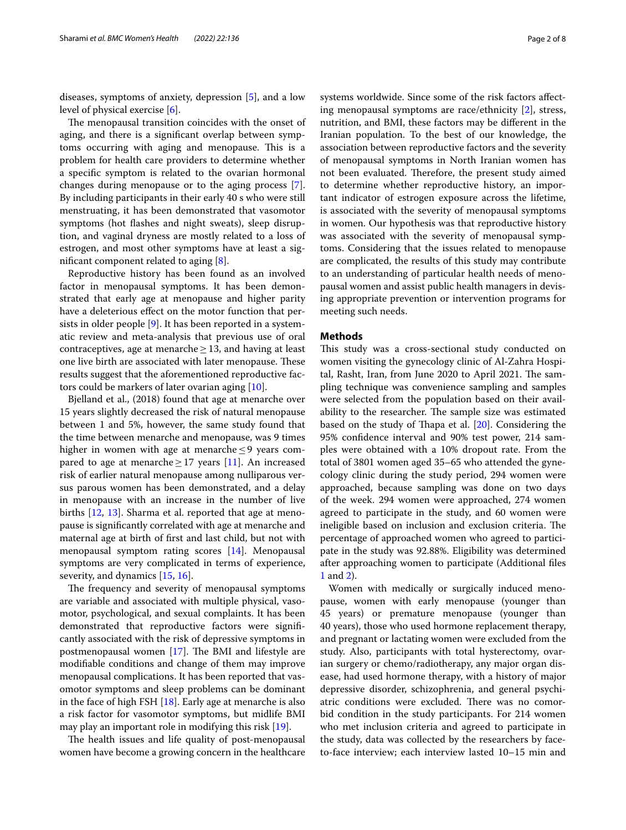diseases, symptoms of anxiety, depression [[5\]](#page-7-3), and a low level of physical exercise [[6](#page-7-4)].

The menopausal transition coincides with the onset of aging, and there is a signifcant overlap between symptoms occurring with aging and menopause. This is a problem for health care providers to determine whether a specifc symptom is related to the ovarian hormonal changes during menopause or to the aging process [\[7](#page-7-5)]. By including participants in their early 40 s who were still menstruating, it has been demonstrated that vasomotor symptoms (hot fashes and night sweats), sleep disruption, and vaginal dryness are mostly related to a loss of estrogen, and most other symptoms have at least a signifcant component related to aging [[8\]](#page-7-6).

Reproductive history has been found as an involved factor in menopausal symptoms. It has been demonstrated that early age at menopause and higher parity have a deleterious effect on the motor function that persists in older people [[9\]](#page-7-7). It has been reported in a systematic review and meta-analysis that previous use of oral contraceptives, age at menarche $\geq$ 13, and having at least one live birth are associated with later menopause. These results suggest that the aforementioned reproductive factors could be markers of later ovarian aging [\[10\]](#page-7-8).

Bjelland et al., (2018) found that age at menarche over 15 years slightly decreased the risk of natural menopause between 1 and 5%, however, the same study found that the time between menarche and menopause, was 9 times higher in women with age at menarche  $\leq$ 9 years compared to age at menarche  $\geq$  17 years [\[11](#page-7-9)]. An increased risk of earlier natural menopause among nulliparous versus parous women has been demonstrated, and a delay in menopause with an increase in the number of live births [\[12,](#page-7-10) [13](#page-7-11)]. Sharma et al. reported that age at menopause is signifcantly correlated with age at menarche and maternal age at birth of frst and last child, but not with menopausal symptom rating scores [[14](#page-7-12)]. Menopausal symptoms are very complicated in terms of experience, severity, and dynamics [\[15](#page-7-13), [16\]](#page-7-14).

The frequency and severity of menopausal symptoms are variable and associated with multiple physical, vasomotor, psychological, and sexual complaints. It has been demonstrated that reproductive factors were signifcantly associated with the risk of depressive symptoms in postmenopausal women  $[17]$  $[17]$ . The BMI and lifestyle are modifable conditions and change of them may improve menopausal complications. It has been reported that vasomotor symptoms and sleep problems can be dominant in the face of high FSH [[18\]](#page-7-16). Early age at menarche is also a risk factor for vasomotor symptoms, but midlife BMI may play an important role in modifying this risk [\[19\]](#page-7-17).

The health issues and life quality of post-menopausal women have become a growing concern in the healthcare

systems worldwide. Since some of the risk factors afecting menopausal symptoms are race/ethnicity [\[2](#page-7-0)], stress, nutrition, and BMI, these factors may be diferent in the Iranian population. To the best of our knowledge, the association between reproductive factors and the severity of menopausal symptoms in North Iranian women has not been evaluated. Therefore, the present study aimed to determine whether reproductive history, an important indicator of estrogen exposure across the lifetime, is associated with the severity of menopausal symptoms in women. Our hypothesis was that reproductive history was associated with the severity of menopausal symptoms. Considering that the issues related to menopause are complicated, the results of this study may contribute to an understanding of particular health needs of menopausal women and assist public health managers in devising appropriate prevention or intervention programs for meeting such needs.

# **Methods**

This study was a cross-sectional study conducted on women visiting the gynecology clinic of Al-Zahra Hospital, Rasht, Iran, from June 2020 to April 2021. The sampling technique was convenience sampling and samples were selected from the population based on their availability to the researcher. The sample size was estimated based on the study of Thapa et al.  $[20]$  $[20]$  $[20]$ . Considering the 95% confdence interval and 90% test power, 214 samples were obtained with a 10% dropout rate. From the total of 3801 women aged 35–65 who attended the gynecology clinic during the study period, 294 women were approached, because sampling was done on two days of the week. 294 women were approached, 274 women agreed to participate in the study, and 60 women were ineligible based on inclusion and exclusion criteria. The percentage of approached women who agreed to participate in the study was 92.88%. Eligibility was determined after approaching women to participate (Additional fles [1](#page-6-1) and [2](#page-6-2)).

Women with medically or surgically induced menopause, women with early menopause (younger than 45 years) or premature menopause (younger than 40 years), those who used hormone replacement therapy, and pregnant or lactating women were excluded from the study. Also, participants with total hysterectomy, ovarian surgery or chemo/radiotherapy, any major organ disease, had used hormone therapy, with a history of major depressive disorder, schizophrenia, and general psychiatric conditions were excluded. There was no comorbid condition in the study participants. For 214 women who met inclusion criteria and agreed to participate in the study, data was collected by the researchers by faceto-face interview; each interview lasted 10–15 min and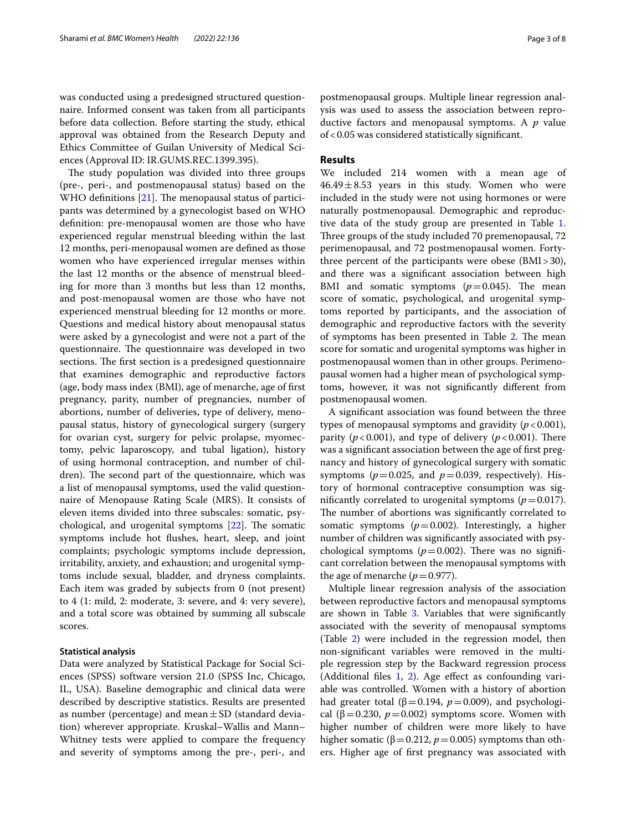was conducted using a predesigned structured questionnaire. Informed consent was taken from all participants before data collection. Before starting the study, ethical approval was obtained from the Research Deputy and Ethics Committee of Guilan University of Medical Sciences (Approval ID: IR.GUMS.REC.1399.395).

The study population was divided into three groups (pre-, peri-, and postmenopausal status) based on the WHO definitions  $[21]$  $[21]$ . The menopausal status of participants was determined by a gynecologist based on WHO defnition: pre-menopausal women are those who have experienced regular menstrual bleeding within the last 12 months, peri-menopausal women are defned as those women who have experienced irregular menses within the last 12 months or the absence of menstrual bleeding for more than 3 months but less than 12 months, and post-menopausal women are those who have not experienced menstrual bleeding for 12 months or more. Questions and medical history about menopausal status were asked by a gynecologist and were not a part of the questionnaire. The questionnaire was developed in two sections. The first section is a predesigned questionnaire that examines demographic and reproductive factors (age, body mass index (BMI), age of menarche, age of frst pregnancy, parity, number of pregnancies, number of abortions, number of deliveries, type of delivery, menopausal status, history of gynecological surgery (surgery for ovarian cyst, surgery for pelvic prolapse, myomectomy, pelvic laparoscopy, and tubal ligation), history of using hormonal contraception, and number of children). The second part of the questionnaire, which was a list of menopausal symptoms, used the valid questionnaire of Menopause Rating Scale (MRS). It consists of eleven items divided into three subscales: somatic, psychological, and urogenital symptoms  $[22]$  $[22]$  $[22]$ . The somatic symptoms include hot fushes, heart, sleep, and joint complaints; psychologic symptoms include depression, irritability, anxiety, and exhaustion; and urogenital symptoms include sexual, bladder, and dryness complaints. Each item was graded by subjects from 0 (not present) to 4 (1: mild, 2: moderate, 3: severe, and 4: very severe), and a total score was obtained by summing all subscale scores.

# **Statistical analysis**

Data were analyzed by Statistical Package for Social Sciences (SPSS) software version 21.0 (SPSS Inc, Chicago, IL, USA). Baseline demographic and clinical data were described by descriptive statistics. Results are presented as number (percentage) and mean  $\pm$  SD (standard deviation) wherever appropriate. Kruskal–Wallis and Mann– Whitney tests were applied to compare the frequency and severity of symptoms among the pre-, peri-, and postmenopausal groups. Multiple linear regression analysis was used to assess the association between reproductive factors and menopausal symptoms. A *p* value of<0.05 was considered statistically signifcant.

# **Results**

We included 214 women with a mean age of  $46.49 \pm 8.53$  years in this study. Women who were included in the study were not using hormones or were naturally postmenopausal. Demographic and reproductive data of the study group are presented in Table [1](#page-3-0). Three groups of the study included 70 premenopausal, 72 perimenopausal, and 72 postmenopausal women. Fortythree percent of the participants were obese (BMI>30), and there was a signifcant association between high BMI and somatic symptoms  $(p=0.045)$ . The mean score of somatic, psychological, and urogenital symptoms reported by participants, and the association of demographic and reproductive factors with the severity of symptoms has been presented in Table [2.](#page-4-0) The mean score for somatic and urogenital symptoms was higher in postmenopausal women than in other groups. Perimenopausal women had a higher mean of psychological symptoms, however, it was not signifcantly diferent from postmenopausal women.

A signifcant association was found between the three types of menopausal symptoms and gravidity  $(p<0.001)$ , parity ( $p < 0.001$ ), and type of delivery ( $p < 0.001$ ). There was a signifcant association between the age of frst pregnancy and history of gynecological surgery with somatic symptoms ( $p=0.025$ , and  $p=0.039$ , respectively). History of hormonal contraceptive consumption was significantly correlated to urogenital symptoms  $(p=0.017)$ . The number of abortions was significantly correlated to somatic symptoms  $(p=0.002)$ . Interestingly, a higher number of children was signifcantly associated with psychological symptoms  $(p=0.002)$ . There was no significant correlation between the menopausal symptoms with the age of menarche ( $p=0.977$ ).

Multiple linear regression analysis of the association between reproductive factors and menopausal symptoms are shown in Table [3.](#page-5-0) Variables that were significantly associated with the severity of menopausal symptoms (Table [2\)](#page-4-0) were included in the regression model, then non-signifcant variables were removed in the multiple regression step by the Backward regression process (Additional fles [1,](#page-6-1) [2](#page-6-2)). Age efect as confounding variable was controlled. Women with a history of abortion had greater total (β=0.194,  $p=0.009$ ), and psychological ( $\beta$ =0.230,  $p$ =0.002) symptoms score. Women with higher number of children were more likely to have higher somatic ( $\beta$ =0.212,  $p$  = 0.005) symptoms than others. Higher age of frst pregnancy was associated with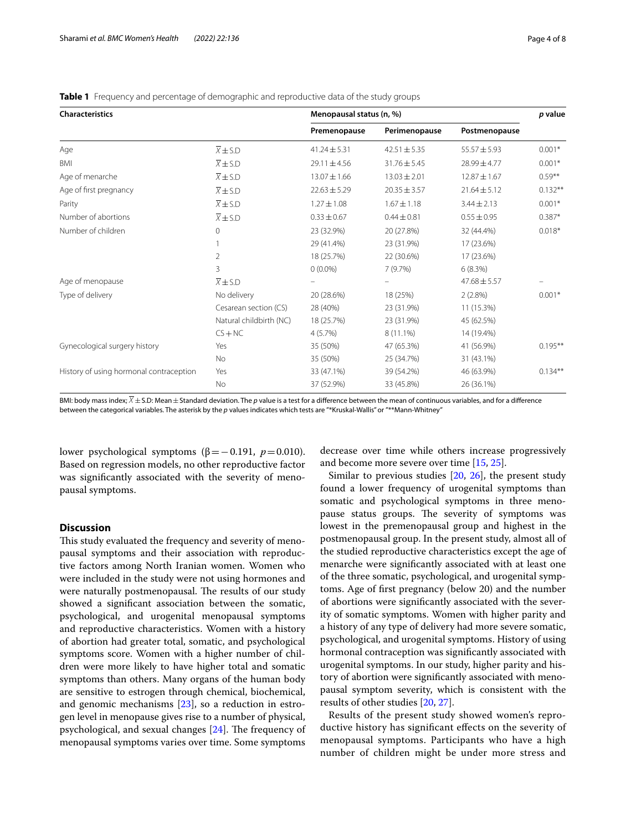| <b>Characteristics</b>                  |                         | Menopausal status (n, %) |                  |                  | p value    |
|-----------------------------------------|-------------------------|--------------------------|------------------|------------------|------------|
|                                         |                         | Premenopause             | Perimenopause    | Postmenopause    |            |
| Age                                     | $\overline{X}$ ± S.D    | $41.24 \pm 5.31$         | $42.51 \pm 5.35$ | $55.57 \pm 5.93$ | $0.001*$   |
| <b>BMI</b>                              | $\overline{X}$ ± S.D    | $29.11 \pm 4.56$         | $31.76 \pm 5.45$ | $28.99 \pm 4.77$ | $0.001*$   |
| Age of menarche                         | $\overline{X}$ ± S.D    | $13.07 \pm 1.66$         | $13.03 \pm 2.01$ | $12.87 \pm 1.67$ | $0.59**$   |
| Age of first pregnancy                  | $\overline{X}$ ± S.D    | $22.63 \pm 5.29$         | $20.35 \pm 3.57$ | $21.64 \pm 5.12$ | $0.132**$  |
| Parity                                  | $\overline{X}$ ± S.D    | $1.27 \pm 1.08$          | $1.67 \pm 1.18$  | $3.44 \pm 2.13$  | $0.001*$   |
| Number of abortions                     | $\overline{X}$ ± S.D    | $0.33 \pm 0.67$          | $0.44 \pm 0.81$  | $0.55 \pm 0.95$  | $0.387*$   |
| Number of children                      | $\Omega$                | 23 (32.9%)               | 20 (27.8%)       | 32 (44.4%)       | $0.018*$   |
|                                         |                         | 29 (41.4%)               | 23 (31.9%)       | 17 (23.6%)       |            |
|                                         | 2                       | 18 (25.7%)               | 22 (30.6%)       | 17 (23.6%)       |            |
|                                         | 3                       | $0(0.0\%)$               | 7(9.7%)          | 6(8.3%)          |            |
| Age of menopause                        | $\overline{X}$ ± S.D    |                          | -                | $47.68 \pm 5.57$ |            |
| Type of delivery                        | No delivery             | 20 (28.6%)               | 18 (25%)         | 2(2.8%)          | $0.001*$   |
|                                         | Cesarean section (CS)   | 28 (40%)                 | 23 (31.9%)       | 11 (15.3%)       |            |
|                                         | Natural childbirth (NC) | 18 (25.7%)               | 23 (31.9%)       | 45 (62.5%)       |            |
|                                         | $CS + NC$               | 4(5.7%)                  | $8(11.1\%)$      | 14 (19.4%)       |            |
| Gynecological surgery history           | Yes                     | 35 (50%)                 | 47 (65.3%)       | 41 (56.9%)       | $0.195***$ |
|                                         | <b>No</b>               | 35 (50%)                 | 25 (34.7%)       | 31 (43.1%)       |            |
| History of using hormonal contraception | Yes                     | 33 (47.1%)               | 39 (54.2%)       | 46 (63.9%)       | $0.134***$ |
|                                         | <b>No</b>               | 37 (52.9%)               | 33 (45.8%)       | 26 (36.1%)       |            |

## <span id="page-3-0"></span>**Table 1** Frequency and percentage of demographic and reproductive data of the study groups

BMI: body mass index;  $\overline{X} \pm$  S.D: Mean  $\pm$  Standard deviation. The *p* value is a test for a difference between the mean of continuous variables, and for a difference between the categorical variables. The asterisk by the *p* values indicates which tests are "\*Kruskal-Wallis" or "\*\*Mann-Whitney

lower psychological symptoms (β=−0.191, *p*=0.010). Based on regression models, no other reproductive factor was signifcantly associated with the severity of menopausal symptoms.

# **Discussion**

This study evaluated the frequency and severity of menopausal symptoms and their association with reproductive factors among North Iranian women. Women who were included in the study were not using hormones and were naturally postmenopausal. The results of our study showed a signifcant association between the somatic, psychological, and urogenital menopausal symptoms and reproductive characteristics. Women with a history of abortion had greater total, somatic, and psychological symptoms score. Women with a higher number of children were more likely to have higher total and somatic symptoms than others. Many organs of the human body are sensitive to estrogen through chemical, biochemical, and genomic mechanisms [[23\]](#page-7-21), so a reduction in estrogen level in menopause gives rise to a number of physical, psychological, and sexual changes  $[24]$  $[24]$ . The frequency of menopausal symptoms varies over time. Some symptoms decrease over time while others increase progressively and become more severe over time [[15](#page-7-13), [25\]](#page-7-23).

Similar to previous studies [[20](#page-7-18), [26\]](#page-7-24), the present study found a lower frequency of urogenital symptoms than somatic and psychological symptoms in three menopause status groups. The severity of symptoms was lowest in the premenopausal group and highest in the postmenopausal group. In the present study, almost all of the studied reproductive characteristics except the age of menarche were signifcantly associated with at least one of the three somatic, psychological, and urogenital symptoms. Age of frst pregnancy (below 20) and the number of abortions were signifcantly associated with the severity of somatic symptoms. Women with higher parity and a history of any type of delivery had more severe somatic, psychological, and urogenital symptoms. History of using hormonal contraception was signifcantly associated with urogenital symptoms. In our study, higher parity and history of abortion were signifcantly associated with menopausal symptom severity, which is consistent with the results of other studies [[20,](#page-7-18) [27\]](#page-7-25).

Results of the present study showed women's reproductive history has signifcant efects on the severity of menopausal symptoms. Participants who have a high number of children might be under more stress and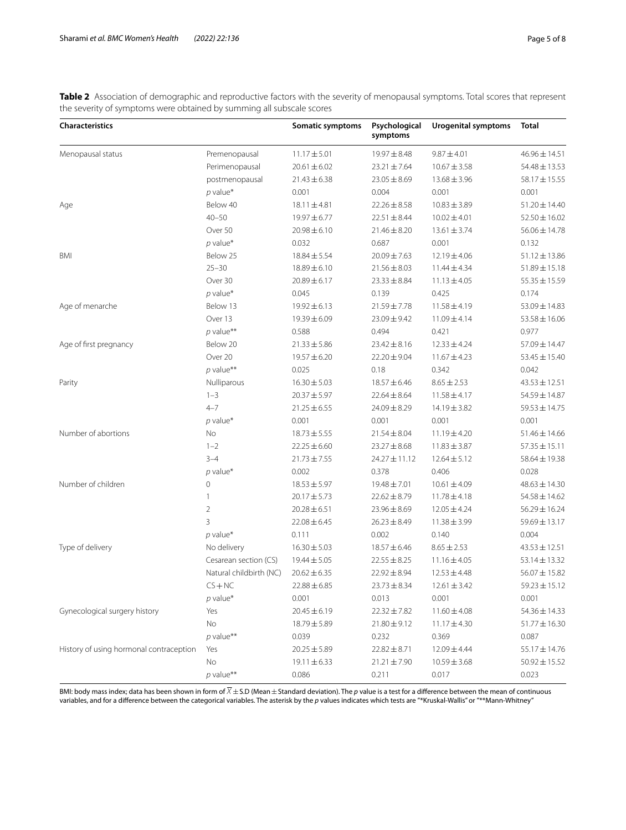<span id="page-4-0"></span>**Table 2** Association of demographic and reproductive factors with the severity of menopausal symptoms. Total scores that represent the severity of symptoms were obtained by summing all subscale scores

| <b>Characteristics</b>                  |                         | Somatic symptoms | Psychological<br>symptoms | <b>Urogenital symptoms</b> | Total             |
|-----------------------------------------|-------------------------|------------------|---------------------------|----------------------------|-------------------|
| Menopausal status                       | Premenopausal           | $11.17 \pm 5.01$ | $19.97 \pm 8.48$          | $9.87 \pm 4.01$            | $46.96 \pm 14.51$ |
|                                         | Perimenopausal          | $20.61 \pm 6.02$ | $23.21 \pm 7.64$          | $10.67 \pm 3.58$           | $54.48 \pm 13.53$ |
|                                         | postmenopausal          | $21.43 \pm 6.38$ | $23.05 \pm 8.69$          | $13.68 \pm 3.96$           | 58.17±15.55       |
|                                         | $p$ value*              | 0.001            | 0.004                     | 0.001                      | 0.001             |
| Age                                     | Below 40                | $18.11 \pm 4.81$ | $22.26 \pm 8.58$          | $10.83 \pm 3.89$           | 51.20 ± 14.40     |
|                                         | $40 - 50$               | $19.97 \pm 6.77$ | $22.51 \pm 8.44$          | $10.02 \pm 4.01$           | $52.50 \pm 16.02$ |
|                                         | Over 50                 | $20.98 \pm 6.10$ | $21.46 \pm 8.20$          | $13.61 \pm 3.74$           | $56.06 \pm 14.78$ |
|                                         | $p$ value*              | 0.032            | 0.687                     | 0.001                      | 0.132             |
| BMI                                     | Below 25                | $18.84 \pm 5.54$ | $20.09 \pm 7.63$          | 12.19 ± 4.06               | $51.12 \pm 13.86$ |
|                                         | $25 - 30$               | $18.89 \pm 6.10$ | $21.56 \pm 8.03$          | $11.44 \pm 4.34$           | 51.89 ± 15.18     |
|                                         | Over 30                 | $20.89 \pm 6.17$ | $23.33 \pm 8.84$          | $11.13 \pm 4.05$           | $55.35 \pm 15.59$ |
|                                         | $p$ value*              | 0.045            | 0.139                     | 0.425                      | 0.174             |
| Age of menarche                         | Below 13                | $19.92 \pm 6.13$ | 21.59±7.78                | $11.58 \pm 4.19$           | 53.09±14.83       |
|                                         | Over 13                 | 19.39 ± 6.09     | 23.09±9.42                | 11.09±4.14                 | $53.58 \pm 16.06$ |
|                                         | $p$ value**             | 0.588            | 0.494                     | 0.421                      | 0.977             |
| Age of first pregnancy                  | Below 20                | $21.33 \pm 5.86$ | $23.42 \pm 8.16$          | $12.33 \pm 4.24$           | 57.09 ± 14.47     |
|                                         | Over 20                 | $19.57 \pm 6.20$ | $22.20 \pm 9.04$          | $11.67 \pm 4.23$           | $53.45 \pm 15.40$ |
|                                         | $p$ value**             | 0.025            | 0.18                      | 0.342                      | 0.042             |
| Parity                                  | Nulliparous             | $16.30 \pm 5.03$ | $18.57 \pm 6.46$          | $8.65 \pm 2.53$            | $43.53 \pm 12.51$ |
|                                         | $1 - 3$                 | $20.37 + 5.97$   | $22.64 \pm 8.64$          | $11.58 \pm 4.17$           | 54.59±14.87       |
|                                         | $4 - 7$                 | $21.25 \pm 6.55$ | $24.09 \pm 8.29$          | $14.19 \pm 3.82$           | $59.53 \pm 14.75$ |
|                                         | $p$ value*              | 0.001            | 0.001                     | 0.001                      | 0.001             |
| Number of abortions                     | No                      | $18.73 \pm 5.55$ | $21.54 \pm 8.04$          | $11.19 \pm 4.20$           | 51.46 ± 14.66     |
|                                         | $1 - 2$                 | $22.25 \pm 6.60$ | $23.27 \pm 8.68$          | $11.83 \pm 3.87$           | $57.35 \pm 15.11$ |
|                                         | $3 - 4$                 | $21.73 \pm 7.55$ | 24.27±11.12               | $12.64 \pm 5.12$           | 58.64 ± 19.38     |
|                                         | $p$ value*              | 0.002            | 0.378                     | 0.406                      | 0.028             |
| Number of children                      | 0                       | $18.53 \pm 5.97$ | $19.48 \pm 7.01$          | $10.61 \pm 4.09$           | $48.63 \pm 14.30$ |
|                                         | 1                       | $20.17 \pm 5.73$ | $22.62 \pm 8.79$          | $11.78 \pm 4.18$           | $54.58 \pm 14.62$ |
|                                         | $\overline{2}$          | $20.28 \pm 6.51$ | $23.96 \pm 8.69$          | $12.05 \pm 4.24$           | 56.29 ± 16.24     |
|                                         | 3                       | $22.08 \pm 6.45$ | $26.23 \pm 8.49$          | $11.38 \pm 3.99$           | 59.69 ± 13.17     |
|                                         | $p$ value*              | 0.111            | 0.002                     | 0.140                      | 0.004             |
| Type of delivery                        | No delivery             | $16.30 \pm 5.03$ | $18.57 \pm 6.46$          | $8.65 \pm 2.53$            | $43.53 \pm 12.51$ |
|                                         | Cesarean section (CS)   | $19.44 \pm 5.05$ | $22.55 \pm 8.25$          | $11.16 \pm 4.05$           | $53.14 \pm 13.32$ |
|                                         | Natural childbirth (NC) | $20.62 \pm 6.35$ | $22.92 \pm 8.94$          | $12.53 \pm 4.48$           | 56.07 ± 15.82     |
|                                         | $CS + NC$               | $22.88 \pm 6.85$ | $23.73 \pm 8.34$          | $12.61 \pm 3.42$           | $59.23 \pm 15.12$ |
|                                         | $p$ value*              | 0.001            | 0.013                     | 0.001                      | 0.001             |
| Gynecological surgery history           | Yes                     | $20.45 \pm 6.19$ | $22.32 \pm 7.82$          | $11.60 \pm 4.08$           | $54.36 \pm 14.33$ |
|                                         | No                      | 18.79 ± 5.89     | $21.80 \pm 9.12$          | $11.17 \pm 4.30$           | $51.77 \pm 16.30$ |
|                                         | $p$ value**             | 0.039            | 0.232                     | 0.369                      | 0.087             |
| History of using hormonal contraception | Yes                     | $20.25 \pm 5.89$ | $22.82 \pm 8.71$          | $12.09 \pm 4.44$           | 55.17 ± 14.76     |
|                                         | No                      | $19.11 \pm 6.33$ | $21.21 \pm 7.90$          | $10.59 \pm 3.68$           | $50.92 \pm 15.52$ |
|                                         | $p$ value**             | 0.086            | 0.211                     | 0.017                      | 0.023             |

BMI: body mass index; data has been shown in form of  $\overline{X} \pm$  S.D (Mean  $\pm$  Standard deviation). The *p* value is a test for a difference between the mean of continuous variables, and for a diference between the categorical variables. The asterisk by the *p* values indicates which tests are ''\*Kruskal-Wallis'' or ''\*\*Mann-Whitney''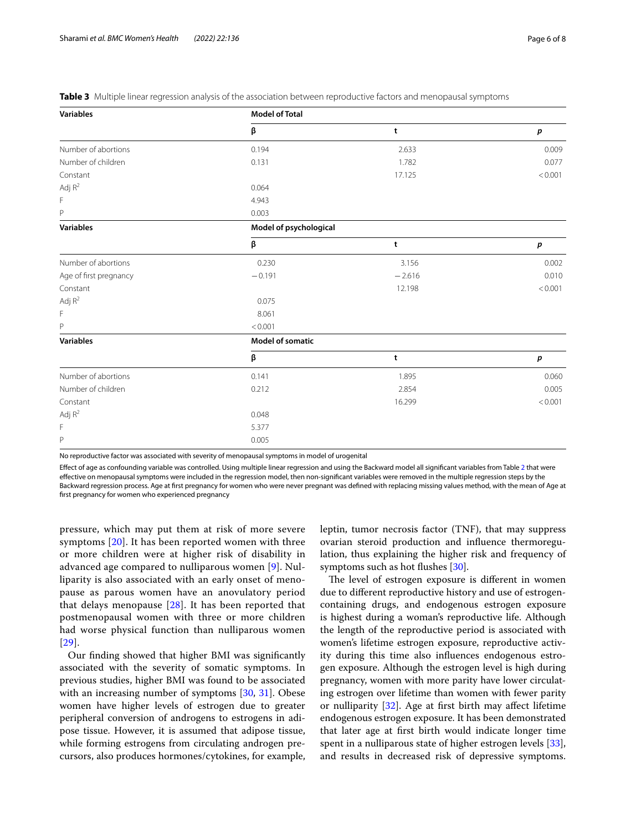| <b>Variables</b>       | <b>Model of Total</b>   |          |                  |  |  |
|------------------------|-------------------------|----------|------------------|--|--|
|                        | β                       | t        | $\boldsymbol{p}$ |  |  |
| Number of abortions    | 0.194                   | 2.633    | 0.009            |  |  |
| Number of children     | 0.131                   | 1.782    | 0.077            |  |  |
| Constant               |                         | 17.125   | < 0.001          |  |  |
| Adj $R^2$              | 0.064                   |          |                  |  |  |
| F                      | 4.943                   |          |                  |  |  |
| P                      | 0.003                   |          |                  |  |  |
| <b>Variables</b>       | Model of psychological  |          |                  |  |  |
|                        | β                       | t        | p                |  |  |
| Number of abortions    | 0.230                   | 3.156    | 0.002            |  |  |
| Age of first pregnancy | $-0.191$                | $-2.616$ | 0.010            |  |  |
| Constant               |                         | 12.198   | < 0.001          |  |  |
| Adj $R^2$              | 0.075                   |          |                  |  |  |
| F                      | 8.061                   |          |                  |  |  |
| P                      | < 0.001                 |          |                  |  |  |
| <b>Variables</b>       | <b>Model of somatic</b> |          |                  |  |  |
|                        | β                       | t        | p                |  |  |
| Number of abortions    | 0.141                   | 1.895    | 0.060            |  |  |
| Number of children     | 0.212                   | 2.854    | 0.005            |  |  |
| Constant               |                         | 16.299   | < 0.001          |  |  |
| Adj $R^2$              | 0.048                   |          |                  |  |  |
| F                      | 5.377                   |          |                  |  |  |
| P                      | 0.005                   |          |                  |  |  |

<span id="page-5-0"></span>**Table 3** Multiple linear regression analysis of the association between reproductive factors and menopausal symptoms

No reproductive factor was associated with severity of menopausal symptoms in model of urogenital

Efect of age as confounding variable was controlled. Using multiple linear regression and using the Backward model all signifcant variables from Table [2](#page-4-0) that were efective on menopausal symptoms were included in the regression model, then non-signifcant variables were removed in the multiple regression steps by the Backward regression process. Age at frst pregnancy for women who were never pregnant was defned with replacing missing values method, with the mean of Age at frst pregnancy for women who experienced pregnancy

pressure, which may put them at risk of more severe symptoms [[20](#page-7-18)]. It has been reported women with three or more children were at higher risk of disability in advanced age compared to nulliparous women [[9](#page-7-7)]. Nulliparity is also associated with an early onset of menopause as parous women have an anovulatory period that delays menopause [[28\]](#page-7-26). It has been reported that postmenopausal women with three or more children had worse physical function than nulliparous women [[29](#page-7-27)].

Our fnding showed that higher BMI was signifcantly associated with the severity of somatic symptoms. In previous studies, higher BMI was found to be associated with an increasing number of symptoms [\[30](#page-7-28), [31](#page-7-29)]. Obese women have higher levels of estrogen due to greater peripheral conversion of androgens to estrogens in adipose tissue. However, it is assumed that adipose tissue, while forming estrogens from circulating androgen precursors, also produces hormones/cytokines, for example, leptin, tumor necrosis factor (TNF), that may suppress ovarian steroid production and infuence thermoregulation, thus explaining the higher risk and frequency of symptoms such as hot fushes [\[30\]](#page-7-28).

The level of estrogen exposure is different in women due to diferent reproductive history and use of estrogencontaining drugs, and endogenous estrogen exposure is highest during a woman's reproductive life. Although the length of the reproductive period is associated with women's lifetime estrogen exposure, reproductive activity during this time also infuences endogenous estrogen exposure. Although the estrogen level is high during pregnancy, women with more parity have lower circulating estrogen over lifetime than women with fewer parity or nulliparity  $[32]$  $[32]$  $[32]$ . Age at first birth may affect lifetime endogenous estrogen exposure. It has been demonstrated that later age at frst birth would indicate longer time spent in a nulliparous state of higher estrogen levels [\[33](#page-7-31)], and results in decreased risk of depressive symptoms.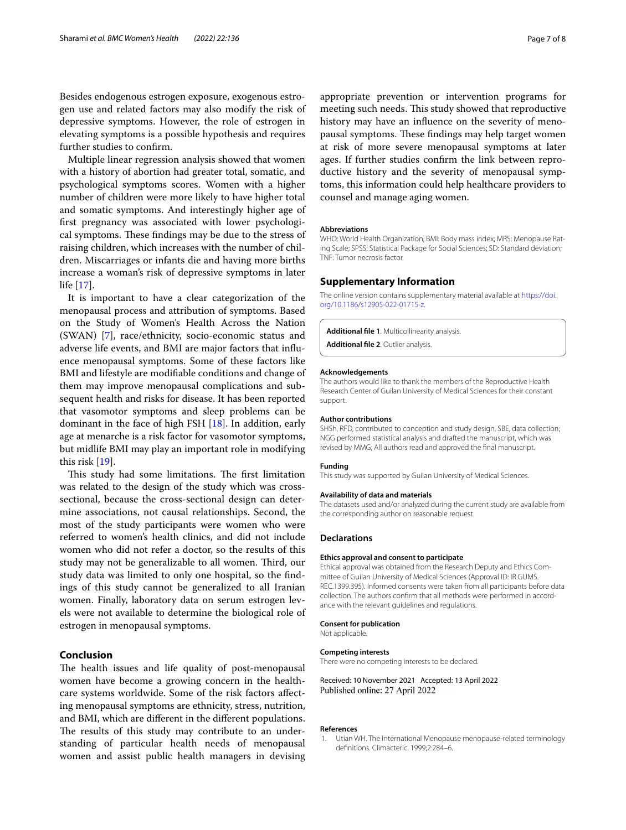Besides endogenous estrogen exposure, exogenous estrogen use and related factors may also modify the risk of depressive symptoms. However, the role of estrogen in elevating symptoms is a possible hypothesis and requires further studies to confrm.

Multiple linear regression analysis showed that women with a history of abortion had greater total, somatic, and psychological symptoms scores. Women with a higher number of children were more likely to have higher total and somatic symptoms. And interestingly higher age of frst pregnancy was associated with lower psychological symptoms. These findings may be due to the stress of raising children, which increases with the number of children. Miscarriages or infants die and having more births increase a woman's risk of depressive symptoms in later life [[17\]](#page-7-15).

It is important to have a clear categorization of the menopausal process and attribution of symptoms. Based on the Study of Women's Health Across the Nation (SWAN) [[7\]](#page-7-5), race/ethnicity, socio-economic status and adverse life events, and BMI are major factors that infuence menopausal symptoms. Some of these factors like BMI and lifestyle are modifable conditions and change of them may improve menopausal complications and subsequent health and risks for disease. It has been reported that vasomotor symptoms and sleep problems can be dominant in the face of high FSH [[18](#page-7-16)]. In addition, early age at menarche is a risk factor for vasomotor symptoms, but midlife BMI may play an important role in modifying this risk [[19\]](#page-7-17).

This study had some limitations. The first limitation was related to the design of the study which was crosssectional, because the cross-sectional design can determine associations, not causal relationships. Second, the most of the study participants were women who were referred to women's health clinics, and did not include women who did not refer a doctor, so the results of this study may not be generalizable to all women. Third, our study data was limited to only one hospital, so the fndings of this study cannot be generalized to all Iranian women. Finally, laboratory data on serum estrogen levels were not available to determine the biological role of estrogen in menopausal symptoms.

# **Conclusion**

The health issues and life quality of post-menopausal women have become a growing concern in the healthcare systems worldwide. Some of the risk factors afecting menopausal symptoms are ethnicity, stress, nutrition, and BMI, which are diferent in the diferent populations. The results of this study may contribute to an understanding of particular health needs of menopausal women and assist public health managers in devising appropriate prevention or intervention programs for meeting such needs. This study showed that reproductive history may have an infuence on the severity of menopausal symptoms. These findings may help target women at risk of more severe menopausal symptoms at later ages. If further studies confrm the link between reproductive history and the severity of menopausal symptoms, this information could help healthcare providers to counsel and manage aging women.

#### **Abbreviations**

WHO: World Health Organization; BMI: Body mass index; MRS: Menopause Rating Scale; SPSS: Statistical Package for Social Sciences; SD: Standard deviation; TNF: Tumor necrosis factor.

# **Supplementary Information**

The online version contains supplementary material available at [https://doi.](https://doi.org/10.1186/s12905-022-01715-z) [org/10.1186/s12905-022-01715-z.](https://doi.org/10.1186/s12905-022-01715-z)

<span id="page-6-1"></span>**Additional fle 1**. Multicollinearity analysis.

<span id="page-6-2"></span>**Additional fle 2**. Outlier analysis.

#### **Acknowledgements**

The authors would like to thank the members of the Reproductive Health Research Center of Guilan University of Medical Sciences for their constant support.

#### **Author contributions**

SHSh, RFD, contributed to conception and study design, SBE, data collection; NGG performed statistical analysis and drafted the manuscript, which was revised by MMG; All authors read and approved the fnal manuscript.

#### **Funding**

This study was supported by Guilan University of Medical Sciences.

# **Availability of data and materials**

The datasets used and/or analyzed during the current study are available from the corresponding author on reasonable request.

### **Declarations**

#### **Ethics approval and consent to participate**

Ethical approval was obtained from the Research Deputy and Ethics Committee of Guilan University of Medical Sciences (Approval ID: IR.GUMS. REC.1399.395). Informed consents were taken from all participants before data collection. The authors confirm that all methods were performed in accordance with the relevant guidelines and regulations.

## **Consent for publication**

Not applicable.

#### **Competing interests**

There were no competing interests to be declared.

Received: 10 November 2021 Accepted: 13 April 2022 Published online: 27 April 2022

#### **References**

<span id="page-6-0"></span>1. Utian WH. The International Menopause menopause-related terminology defnitions. Climacteric. 1999;2:284–6.